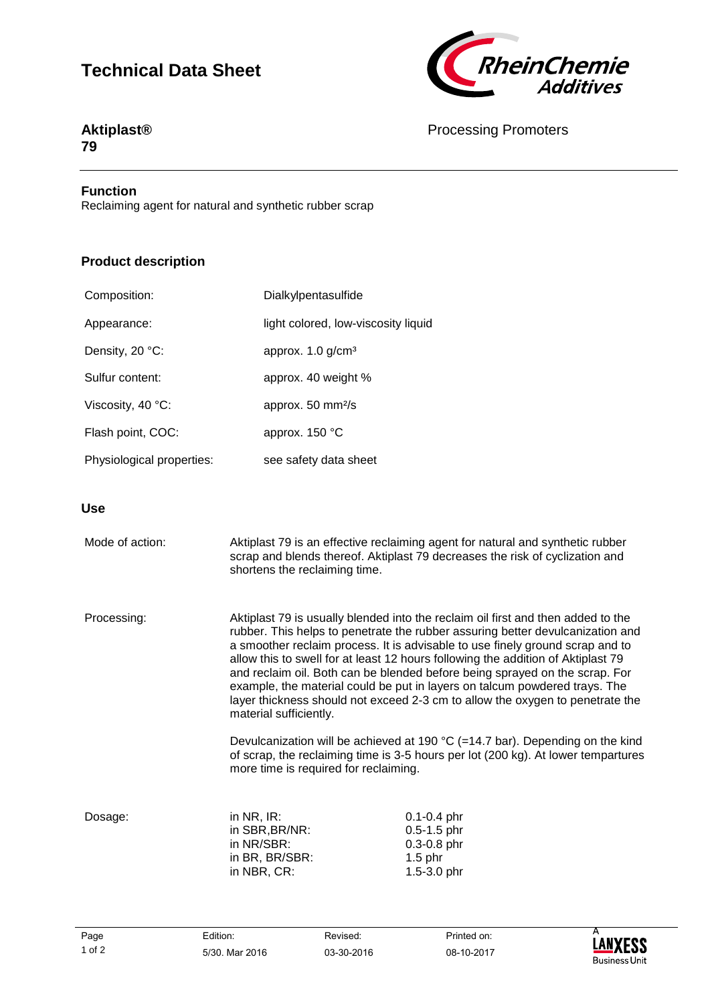# **Technical Data Sheet**



### **Aktiplast® 79**

## Processing Promoters

#### **Function**

Reclaiming agent for natural and synthetic rubber scrap

# **Product description**

| Composition:              | Dialkylpentasulfide                 |
|---------------------------|-------------------------------------|
| Appearance:               | light colored, low-viscosity liquid |
| Density, 20 °C:           | approx. $1.0$ g/cm <sup>3</sup>     |
| Sulfur content:           | approx. 40 weight %                 |
| Viscosity, 40 °C:         | approx. $50 \text{ mm}^2\text{/s}$  |
| Flash point, COC:         | approx. 150 °C                      |
| Physiological properties: | see safety data sheet               |

### **Use**

| Mode of action: | shortens the reclaiming time.                                                                                                                                                                                                                                                                                                                                                                                                                                                                                                                                                                                                                                                                                                                                                                                                            | Aktiplast 79 is an effective reclaiming agent for natural and synthetic rubber<br>scrap and blends thereof. Aktiplast 79 decreases the risk of cyclization and |
|-----------------|------------------------------------------------------------------------------------------------------------------------------------------------------------------------------------------------------------------------------------------------------------------------------------------------------------------------------------------------------------------------------------------------------------------------------------------------------------------------------------------------------------------------------------------------------------------------------------------------------------------------------------------------------------------------------------------------------------------------------------------------------------------------------------------------------------------------------------------|----------------------------------------------------------------------------------------------------------------------------------------------------------------|
| Processing:     | Aktiplast 79 is usually blended into the reclaim oil first and then added to the<br>rubber. This helps to penetrate the rubber assuring better devulcanization and<br>a smoother reclaim process. It is advisable to use finely ground scrap and to<br>allow this to swell for at least 12 hours following the addition of Aktiplast 79<br>and reclaim oil. Both can be blended before being sprayed on the scrap. For<br>example, the material could be put in layers on talcum powdered trays. The<br>layer thickness should not exceed 2-3 cm to allow the oxygen to penetrate the<br>material sufficiently.<br>Devulcanization will be achieved at 190 $^{\circ}$ C (=14.7 bar). Depending on the kind<br>of scrap, the reclaiming time is 3-5 hours per lot (200 kg). At lower tempartures<br>more time is required for reclaiming. |                                                                                                                                                                |
|                 |                                                                                                                                                                                                                                                                                                                                                                                                                                                                                                                                                                                                                                                                                                                                                                                                                                          |                                                                                                                                                                |
| Dosage:         | in $NR$ , $IR$ :<br>in SBR, BR/NR:<br>in NR/SBR:<br>in BR, BR/SBR:<br>in NBR, CR:                                                                                                                                                                                                                                                                                                                                                                                                                                                                                                                                                                                                                                                                                                                                                        | $0.1 - 0.4$ phr<br>$0.5 - 1.5$ phr<br>$0.3 - 0.8$ phr<br>$1.5$ phr<br>$1.5 - 3.0$ phr                                                                          |